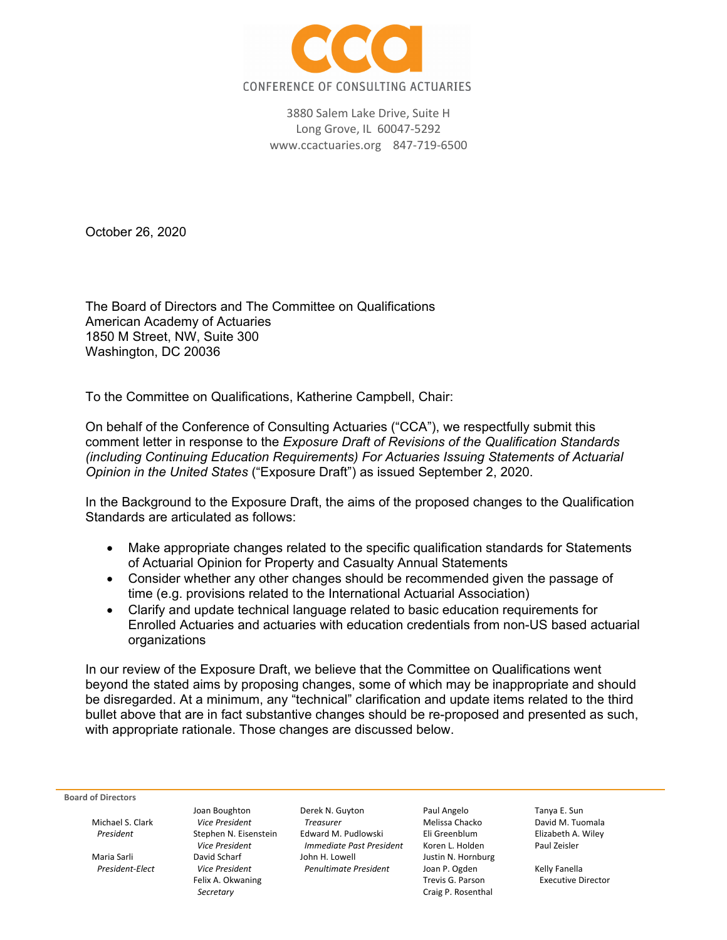

3880 Salem Lake Drive, Suite H Long Grove, IL 60047‐5292 www.ccactuaries.org 847‐719‐6500

October 26, 2020

The Board of Directors and The Committee on Qualifications American Academy of Actuaries 1850 M Street, NW, Suite 300 Washington, DC 20036

To the Committee on Qualifications, Katherine Campbell, Chair:

On behalf of the Conference of Consulting Actuaries ("CCA"), we respectfully submit this comment letter in response to the *Exposure Draft of Revisions of the Qualification Standards (including Continuing Education Requirements) For Actuaries Issuing Statements of Actuarial Opinion in the United States* ("Exposure Draft") as issued September 2, 2020.

In the Background to the Exposure Draft, the aims of the proposed changes to the Qualification Standards are articulated as follows:

- Make appropriate changes related to the specific qualification standards for Statements of Actuarial Opinion for Property and Casualty Annual Statements
- Consider whether any other changes should be recommended given the passage of time (e.g. provisions related to the International Actuarial Association)
- Clarify and update technical language related to basic education requirements for Enrolled Actuaries and actuaries with education credentials from non-US based actuarial organizations

In our review of the Exposure Draft, we believe that the Committee on Qualifications went beyond the stated aims by proposing changes, some of which may be inappropriate and should be disregarded. At a minimum, any "technical" clarification and update items related to the third bullet above that are in fact substantive changes should be re-proposed and presented as such, with appropriate rationale. Those changes are discussed below.

**Board of Directors**

*President‐Elect Vice President Penultimate President* Joan P. Ogden Kelly Fanella

Joan Boughton Derek N. Guyton Paul Angelo Tanya E. Sun Michael S. Clark *Vice President Treasurer* Melissa Chacko David M. Tuomala *President* Stephen N. Eisenstein Edward M. Pudlowski Eli Greenblum Elizabeth A. Wiley *Vice President Immediate Past President* Koren L. Holden Paul Zeisler Maria Sarli David Scharf John H. Lowell Justin N. Hornburg

**Secretary** Craig P. Rosenthal

Executive Director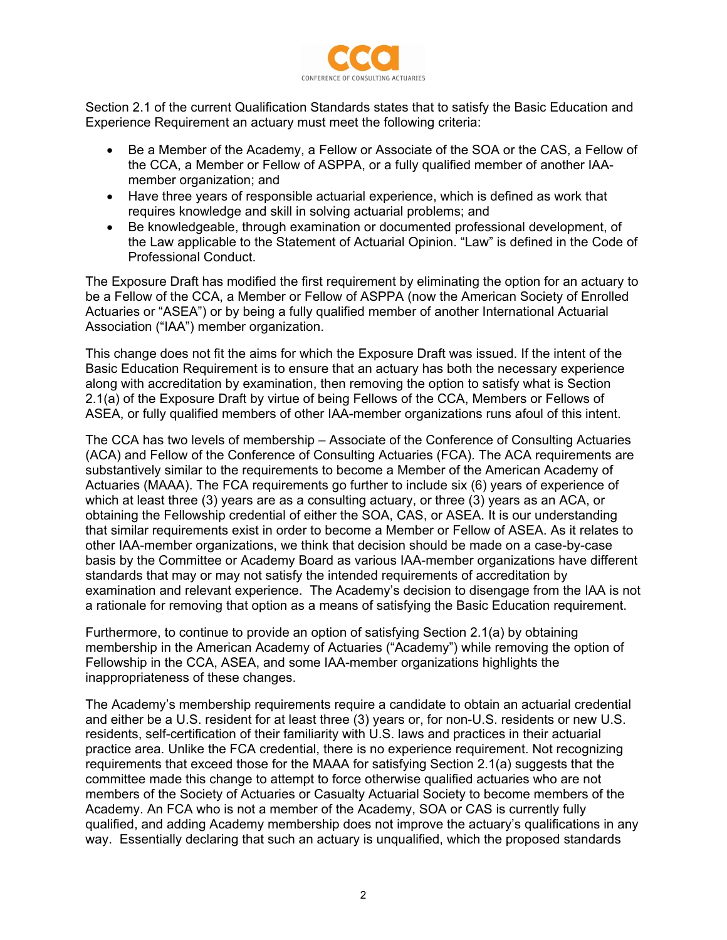

Section 2.1 of the current Qualification Standards states that to satisfy the Basic Education and Experience Requirement an actuary must meet the following criteria:

- Be a Member of the Academy, a Fellow or Associate of the SOA or the CAS, a Fellow of the CCA, a Member or Fellow of ASPPA, or a fully qualified member of another IAAmember organization; and
- Have three years of responsible actuarial experience, which is defined as work that requires knowledge and skill in solving actuarial problems; and
- Be knowledgeable, through examination or documented professional development, of the Law applicable to the Statement of Actuarial Opinion. "Law" is defined in the Code of Professional Conduct.

The Exposure Draft has modified the first requirement by eliminating the option for an actuary to be a Fellow of the CCA, a Member or Fellow of ASPPA (now the American Society of Enrolled Actuaries or "ASEA") or by being a fully qualified member of another International Actuarial Association ("IAA") member organization.

This change does not fit the aims for which the Exposure Draft was issued. If the intent of the Basic Education Requirement is to ensure that an actuary has both the necessary experience along with accreditation by examination, then removing the option to satisfy what is Section 2.1(a) of the Exposure Draft by virtue of being Fellows of the CCA, Members or Fellows of ASEA, or fully qualified members of other IAA-member organizations runs afoul of this intent.

The CCA has two levels of membership – Associate of the Conference of Consulting Actuaries (ACA) and Fellow of the Conference of Consulting Actuaries (FCA). The ACA requirements are substantively similar to the requirements to become a Member of the American Academy of Actuaries (MAAA). The FCA requirements go further to include six (6) years of experience of which at least three (3) years are as a consulting actuary, or three (3) years as an ACA, or obtaining the Fellowship credential of either the SOA, CAS, or ASEA. It is our understanding that similar requirements exist in order to become a Member or Fellow of ASEA. As it relates to other IAA-member organizations, we think that decision should be made on a case-by-case basis by the Committee or Academy Board as various IAA-member organizations have different standards that may or may not satisfy the intended requirements of accreditation by examination and relevant experience. The Academy's decision to disengage from the IAA is not a rationale for removing that option as a means of satisfying the Basic Education requirement.

Furthermore, to continue to provide an option of satisfying Section 2.1(a) by obtaining membership in the American Academy of Actuaries ("Academy") while removing the option of Fellowship in the CCA, ASEA, and some IAA-member organizations highlights the inappropriateness of these changes.

The Academy's membership requirements require a candidate to obtain an actuarial credential and either be a U.S. resident for at least three (3) years or, for non-U.S. residents or new U.S. residents, self-certification of their familiarity with U.S. laws and practices in their actuarial practice area. Unlike the FCA credential, there is no experience requirement. Not recognizing requirements that exceed those for the MAAA for satisfying Section 2.1(a) suggests that the committee made this change to attempt to force otherwise qualified actuaries who are not members of the Society of Actuaries or Casualty Actuarial Society to become members of the Academy. An FCA who is not a member of the Academy, SOA or CAS is currently fully qualified, and adding Academy membership does not improve the actuary's qualifications in any way. Essentially declaring that such an actuary is unqualified, which the proposed standards